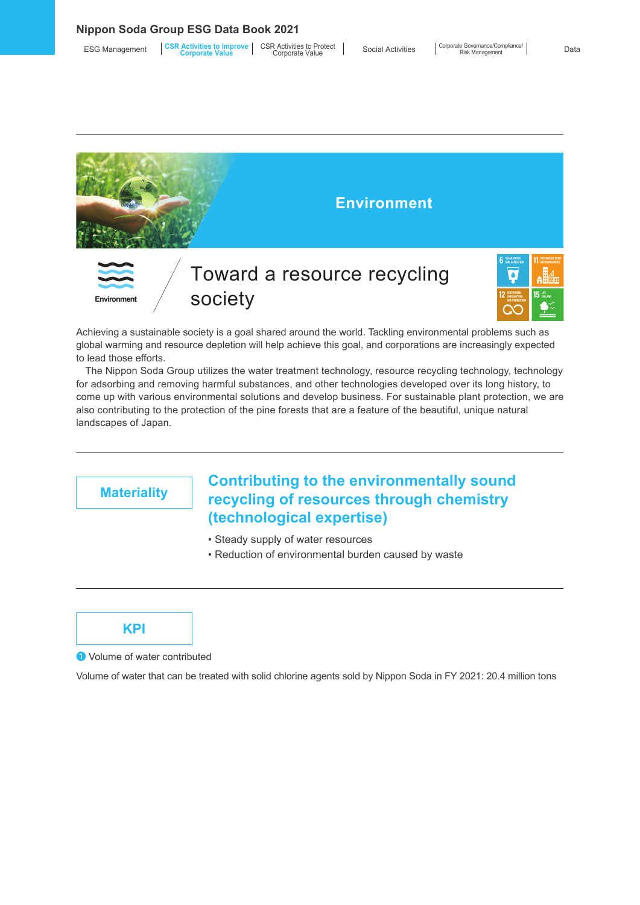#### **Nippon Soda Group ESG Data Book 2021**

| <b>ESG Management</b> | <b>CSR Activities to Improve</b> GSR Activities to Protect<br><b>Corporate Value</b> | Corporate Value | <b>Social Activities</b> |
|-----------------------|--------------------------------------------------------------------------------------|-----------------|--------------------------|
|-----------------------|--------------------------------------------------------------------------------------|-----------------|--------------------------|





Achieving a sustainable society is a goal shared around the world. Tackling environmental problems such as global warming and resource depletion will help achieve this goal, and corporations are increasingly expected to lead those efforts.

The Nippon Soda Group utilizes the water treatment technology, resource recycling technology, technology for adsorbing and removing harmful substances, and other technologies developed over its long history, to come up with various environmental solutions and develop business. For sustainable plant protection, we are also contributing to the protection of the pine forests that are a feature of the beautiful, unique natural landscapes of Japan.

## **Materiality Contributing to the environmentally sound Materiality concellers of resources through chamictry. recycling of resources through chemistry (technological expertise)**

- Steady supply of water resources
- Reduction of environmental burden caused by waste

### **KPI**

❶ Volume of water contributed

Volume of water that can be treated with solid chlorine agents sold by Nippon Soda in FY 2021: 20.4 million tons